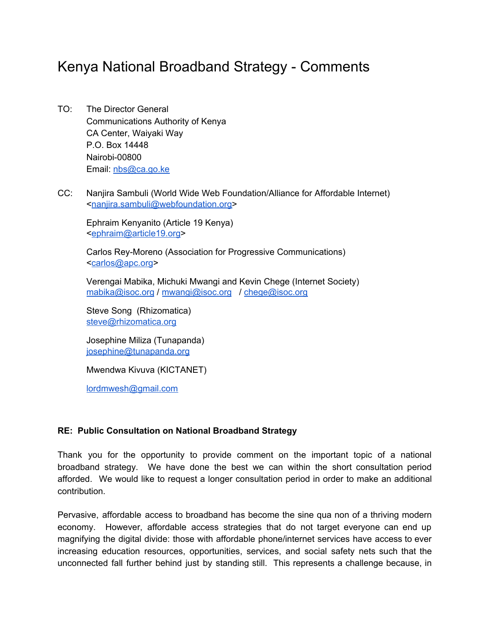# Kenya National Broadband Strategy - Comments

- TO: The Director General Communications Authority of Kenya CA Center, Waiyaki Way P.O. Box 14448 Nairobi-00800 Email: [nbs@ca.go.ke](mailto:nbs@ca.go.ke)
- CC: Nanjira Sambuli (World Wide Web Foundation/Alliance for Affordable Internet) <[nanjira.sambuli@webfoundation.org>](mailto:nanjira.sambuli@webfoundation.org)

Ephraim Kenyanito (Article 19 Kenya) <[ephraim@article19.org>](mailto:ephraim@article19.org)

Carlos Rey-Moreno (Association for Progressive Communications) <[carlos@apc.org](mailto:carlos@apc.org)>

Verengai Mabika, Michuki Mwangi and Kevin Chege (Internet Society) [mabika@isoc.org](mailto:mabika@isoc.org) / [mwangi@isoc.org](mailto:michuki@isoc.org) / [chege@isoc.org](mailto:chege@isoc.org)

Steve Song (Rhizomatica) [steve@rhizomatica.org](mailto:steve@rhizomatica.org)

Josephine Miliza (Tunapanda) [josephine@tunapanda.org](mailto:josephine@tunapanda.org)

Mwendwa Kivuva (KICTANET)

[lordmwesh@gmail.com](mailto:lordmwesh@gmail.com) 

#### **RE: Public Consultation on National Broadband Strategy**

Thank you for the opportunity to provide comment on the important topic of a national broadband strategy. We have done the best we can within the short consultation period afforded. We would like to request a longer consultation period in order to make an additional contribution.

Pervasive, affordable access to broadband has become the sine qua non of a thriving modern economy. However, affordable access strategies that do not target everyone can end up magnifying the digital divide: those with affordable phone/internet services have access to ever increasing education resources, opportunities, services, and social safety nets such that the unconnected fall further behind just by standing still. This represents a challenge because, in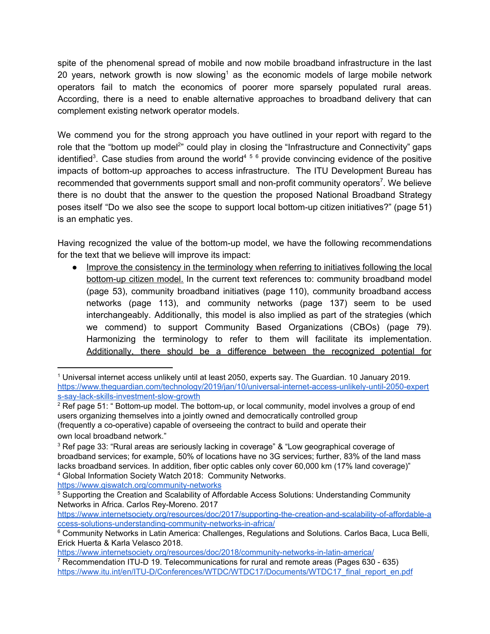spite of the phenomenal spread of mobile and now mobile broadband infrastructure in the last 20 years, network growth is now slowing<sup>1</sup> as the economic models of large mobile network operators fail to match the economics of poorer more sparsely populated rural areas. According, there is a need to enable alternative approaches to broadband delivery that can complement existing network operator models.

We commend you for the strong approach you have outlined in your report with regard to the role that the "bottom up model<sup>2</sup>" could play in closing the "Infrastructure and Connectivity" gaps identified<sup>3</sup>. Case studies from around the world<sup>456</sup> provide convincing evidence of the positive impacts of bottom-up approaches to access infrastructure. The ITU Development Bureau has recommended that governments support small and non-profit community operators<sup>7</sup>. We believe there is no doubt that the answer to the question the proposed National Broadband Strategy poses itself "Do we also see the scope to support local bottom-up citizen initiatives?" (page 51) is an emphatic yes.

Having recognized the value of the bottom-up model, we have the following recommendations for the text that we believe will improve its impact:

• Improve the consistency in the terminology when referring to initiatives following the local bottom-up citizen model. In the current text references to: community broadband model (page 53), community broadband initiatives (page 110), community broadband access networks (page 113), and community networks (page 137) seem to be used interchangeably. Additionally, this model is also implied as part of the strategies (which we commend) to support Community Based Organizations (CBOs) (page 79). Harmonizing the terminology to refer to them will facilitate its implementation. Additionally, there should be a difference between the recognized potential for

<https://www.giswatch.org/community-networks>

<sup>&</sup>lt;sup>1</sup> Universal internet access unlikely until at least 2050, experts say. The Guardian. 10 January 2019. [https://www.theguardian.com/technology/2019/jan/10/universal-internet-access-unlikely-until-2050-expert](https://www.theguardian.com/technology/2019/jan/10/universal-internet-access-unlikely-until-2050-experts-say-lack-skills-investment-slow-growth) [s-say-lack-skills-investment-slow-growth](https://www.theguardian.com/technology/2019/jan/10/universal-internet-access-unlikely-until-2050-experts-say-lack-skills-investment-slow-growth)

 $2$  Ref page 51: " Bottom-up model. The bottom-up, or local community, model involves a group of end users organizing themselves into a jointly owned and democratically controlled group (frequently a co-operative) capable of overseeing the contract to build and operate their own local broadband network."

<sup>&</sup>lt;sup>3</sup> Ref page 33: "Rural areas are seriously lacking in coverage" & "Low geographical coverage of broadband services; for example, 50% of locations have no 3G services; further, 83% of the land mass lacks broadband services. In addition, fiber optic cables only cover 60,000 km (17% land coverage)" 4 Global Information Society Watch 2018: Community Networks.

<sup>&</sup>lt;sup>5</sup> Supporting the Creation and Scalability of Affordable Access Solutions: Understanding Community Networks in Africa. Carlos Rey-Moreno. 2017

[https://www.internetsociety.org/resources/doc/2017/supporting-the-creation-and-scalability-of-affordable-a](https://www.internetsociety.org/resources/doc/2017/supporting-the-creation-and-scalability-of-affordable-access-solutions-understanding-community-networks-in-africa/) [ccess-solutions-understanding-community-networks-in-africa/](https://www.internetsociety.org/resources/doc/2017/supporting-the-creation-and-scalability-of-affordable-access-solutions-understanding-community-networks-in-africa/) 

<sup>6</sup> Community Networks in Latin America: Challenges, Regulations and Solutions. Carlos Baca, Luca Belli, Erick Huerta & Karla Velasco 2018.

<https://www.internetsociety.org/resources/doc/2018/community-networks-in-latin-america/>

<sup>&</sup>lt;sup>7</sup> Recommendation ITU-D 19. Telecommunications for rural and remote areas (Pages 630 - 635) https://www.itu.int/en/ITU-D/Conferences/WTDC/WTDC17/Documents/WTDC17\_final\_report\_en.pdf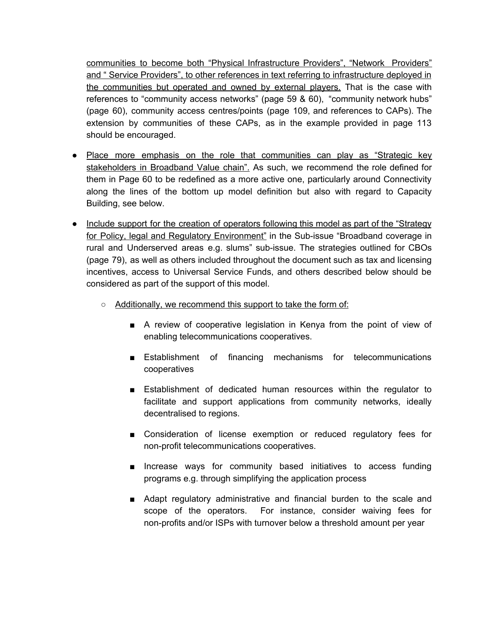communities to become both "Physical Infrastructure Providers", "Network Providers" and " Service Providers", to other references in text referring to infrastructure deployed in the communities but operated and owned by external players. That is the case with references to "community access networks" (page 59 & 60), "community network hubs" (page 60), community access centres/points (page 109, and references to CAPs). The extension by communities of these CAPs, as in the example provided in page 113 should be encouraged.

- Place more emphasis on the role that communities can play as "Strategic key stakeholders in Broadband Value chain". As such, we recommend the role defined for them in Page 60 to be redefined as a more active one, particularly around Connectivity along the lines of the bottom up model definition but also with regard to Capacity Building, see below.
- Include support for the creation of operators following this model as part of the "Strategy" for Policy, legal and Regulatory Environment" in the Sub-issue "Broadband coverage in rural and Underserved areas e.g. slums" sub-issue. The strategies outlined for CBOs (page 79), as well as others included throughout the document such as tax and licensing incentives, access to Universal Service Funds, and others described below should be considered as part of the support of this model.
	- Additionally, we recommend this support to take the form of:
		- A review of cooperative legislation in Kenya from the point of view of enabling telecommunications cooperatives.
		- Establishment of financing mechanisms for telecommunications cooperatives
		- Establishment of dedicated human resources within the regulator to facilitate and support applications from community networks, ideally decentralised to regions.
		- Consideration of license exemption or reduced regulatory fees for non-profit telecommunications cooperatives.
		- Increase ways for community based initiatives to access funding programs e.g. through simplifying the application process
		- Adapt regulatory administrative and financial burden to the scale and scope of the operators. For instance, consider waiving fees for non-profits and/or ISPs with turnover below a threshold amount per year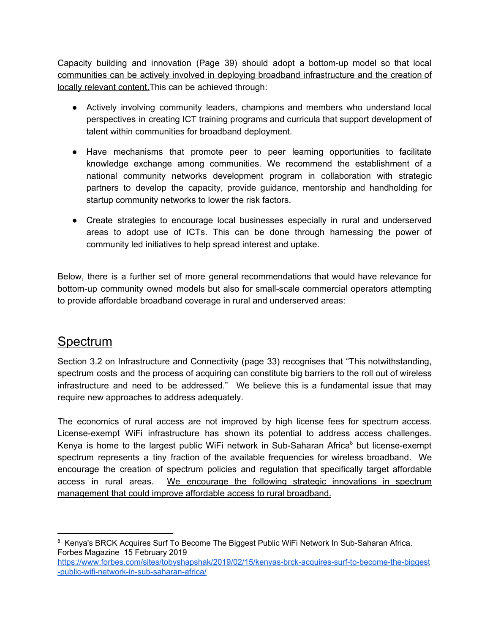Capacity building and innovation (Page 39) should adopt a bottom-up model so that local communities can be actively involved in deploying broadband infrastructure and the creation of locally relevant content.This can be achieved through:

- Actively involving community leaders, champions and members who understand local perspectives in creating ICT training programs and curricula that support development of talent within communities for broadband deployment.
- Have mechanisms that promote peer to peer learning opportunities to facilitate knowledge exchange among communities. We recommend the establishment of a national community networks development program in collaboration with strategic partners to develop the capacity, provide guidance, mentorship and handholding for startup community networks to lower the risk factors.
- Create strategies to encourage local businesses especially in rural and underserved areas to adopt use of ICTs. This can be done through harnessing the power of community led initiatives to help spread interest and uptake.

Below, there is a further set of more general recommendations that would have relevance for bottom-up community owned models but also for small-scale commercial operators attempting to provide affordable broadband coverage in rural and underserved areas:

# Spectrum

Section 3.2 on Infrastructure and Connectivity (page 33) recognises that "This notwithstanding, spectrum costs and the process of acquiring can constitute big barriers to the roll out of wireles s infrastructure and need to be addressed." We believe this is a fundamental issue that may require new approaches to address adequately.

The economics of rural access are not improved by high license fees for spectrum access. License-exempt WiFi infrastructure has shown its potential to address access challenges. Kenya is home to the largest public WiFi network in Sub-Saharan Africa<sup>8</sup> but license-exempt spectrum represents a tiny fraction of the available frequencies for wireless broadband. We encourage the creation of spectrum policies and regulation that specifically target affordable access in rural areas. We encourage the following strategic innovations in spectrum management that could improve affordable access to rural broadband.

<sup>&</sup>lt;sup>8</sup> Kenya's BRCK Acquires Surf To Become The Biggest Public WiFi Network In Sub-Saharan Africa. Forbes Magazine 15 February 2019

[https://www.forbes.com/sites/tobyshapshak/2019/02/15/kenyas-brck-acquires-surf-to-become-the-biggest](https://www.forbes.com/sites/tobyshapshak/2019/02/15/kenyas-brck-acquires-surf-to-become-the-biggest-public-wifi-network-in-sub-saharan-africa/) [-public-wifi-network-in-sub-saharan-africa/](https://www.forbes.com/sites/tobyshapshak/2019/02/15/kenyas-brck-acquires-surf-to-become-the-biggest-public-wifi-network-in-sub-saharan-africa/)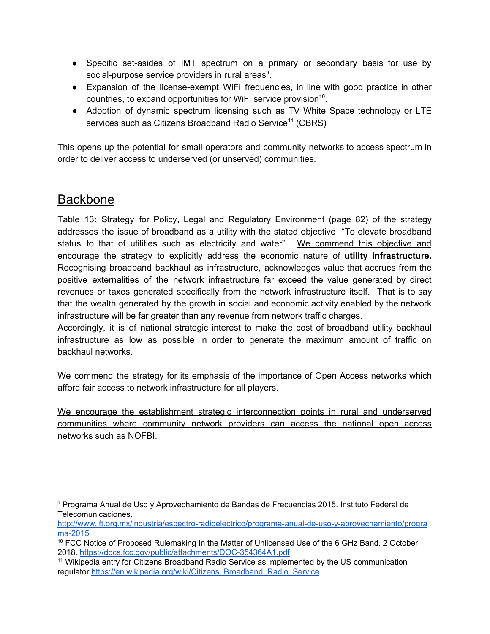- Specific set-asides of IMT spectrum on a primary or secondary basis for use by social-purpose service providers in rural areas<sup>9</sup>.
- Expansion of the license-exempt WiFi frequencies, in line with good practice in other countries, to expand opportunities for WiFi service provision<sup>10</sup>.
- Adoption of dynamic spectrum licensing such as TV White Space technology or LTE services such as Citizens Broadband Radio Service<sup>11</sup> (CBRS)

This opens up the potential for small operators and community networks to access spectrum in order to deliver access to underserved (or unserved) communities.

## **Backbone**

Table 13: Strategy for Policy, Legal and Regulatory Environment (page 82) of the strategy addresses the issue of broadband as a utility with the stated objective "To elevate broadband status to that of utilities such as electricity and water". We commend this objective and encourage the strategy to explicitly address the economic nature of **utility infrastructure.**  Recognising broadband backhaul as infrastructure, acknowledges value that accrues from the positive externalities of the network infrastructure far exceed the value generated by direct revenues or taxes generated specifically from the network infrastructure itself. That is to say that the wealth generated by the growth in social and economic activity enabled by the network infrastructure will be far greater than any revenue from network traffic charges.

Accordingly, it is of national strategic interest to make the cost of broadband utility backhaul infrastructure as low as possible in order to generate the maximum amount of traffic on backhaul networks.

We commend the strategy for its emphasis of the importance of Open Access networks which afford fair access to network infrastructure for all players.

We encourage the establishment strategic interconnection points in rural and underserved communities where community network providers can access the national open access networks such as NOFBI.

<sup>9</sup> Programa Anual de Uso y Aprovechamiento de Bandas de Frecuencias 2015. Instituto Federal de Telecomunicaciones.

[http://www.ift.org.mx/industria/espectro-radioelectrico/programa-anual-de-uso-y-aprovechamiento/progra](http://www.ift.org.mx/industria/espectro-radioelectrico/programa-anual-de-uso-y-aprovechamiento/programa-2015) [ma-2015](http://www.ift.org.mx/industria/espectro-radioelectrico/programa-anual-de-uso-y-aprovechamiento/programa-2015) 

<sup>&</sup>lt;sup>10</sup> FCC Notice of Proposed Rulemaking In the Matter of Unlicensed Use of the 6 GHz Band. 2 October 2018. <https://docs.fcc.gov/public/attachments/DOC-354364A1.pdf>

<sup>&</sup>lt;sup>11</sup> Wikipedia entry for Citizens Broadband Radio Service as implemented by the US communication regulator [https://en.wikipedia.org/wiki/Citizens\\_Broadband\\_Radio\\_Service](https://en.wikipedia.org/wiki/Citizens_Broadband_Radio_Service)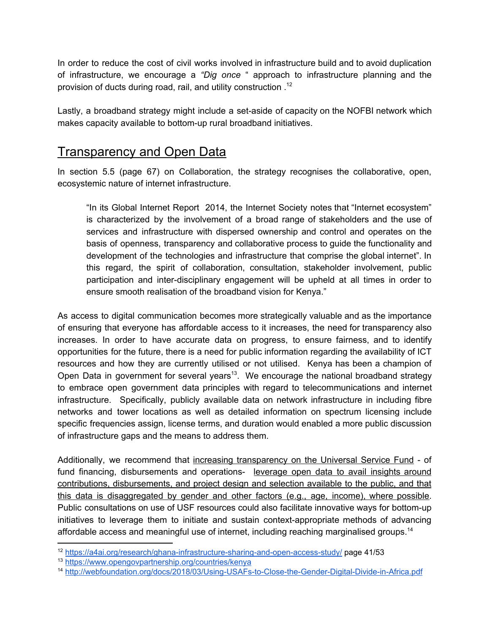In order to reduce the cost of civil works involved in infrastructure build and to avoid duplication of infrastructure, we encourage a *"Dig once* " approach to infrastructure planning and the provision of ducts during road, rail, and utility construction . <sup>12</sup>

Lastly, a broadband strategy might include a set-aside of capacity on the NOFBI network which makes capacity available to bottom-up rural broadband initiatives.

# Transparency and Open Data

In section 5.5 (page 67) on Collaboration, the strategy recognises the collaborative, open, ecosystemic nature of internet infrastructure.

"In its Global Internet Report 2014, the Internet Society notes that "Internet ecosystem" is characterized by the involvement of a broad range of stakeholders and the use of services and infrastructure with dispersed ownership and control and operates on the basis of openness, transparency and collaborative process to guide the functionality and development of the technologies and infrastructure that comprise the global internet". In this regard, the spirit of collaboration, consultation, stakeholder involvement, public participation and inter-disciplinary engagement will be upheld at all times in order to ensure smooth realisation of the broadband vision for Kenya."

As access to digital communication becomes more strategically valuable and as the importance of ensuring that everyone has affordable access to it increases, the need for transparency also increases. In order to have accurate data on progress, to ensure fairness, and to identify opportunities for the future, there is a need for public information regarding the availability of ICT resources and how they are currently utilised or not utilised. Kenya has been a champion of Open Data in government for several years<sup>13</sup>. We encourage the national broadband strategy to embrace open government data principles with regard to telecommunications and internet infrastructure. Specifically, publicly available data on network infrastructure in including fibre networks and tower locations as well as detailed information on spectrum licensing include specific frequencies assign, license terms, and duration would enabled a more public discussion of infrastructure gaps and the means to address them.

Additionally, we recommend that increasing transparency on the Universal Service Fund - of fund financing, disbursements and operations- leverage open data to avail insights around contributions, disbursements, and project design and selection available to the public, and that this data is disaggregated by gender and other factors (e.g., age, income), where possible . Public consultations on use of USF resources could also facilitate innovative ways for bottom-up initiatives to leverage them to initiate and sustain context-appropriate methods of advancing affordable access and meaningful use of internet, including reaching marginalised groups. <sup>14</sup>

<sup>12</sup> <https://a4ai.org/research/ghana-infrastructure-sharing-and-open-access-study/>page 41/53

<sup>13</sup> <https://www.opengovpartnership.org/countries/kenya>

<sup>14</sup> <http://webfoundation.org/docs/2018/03/Using-USAFs-to-Close-the-Gender-Digital-Divide-in-Africa.pdf>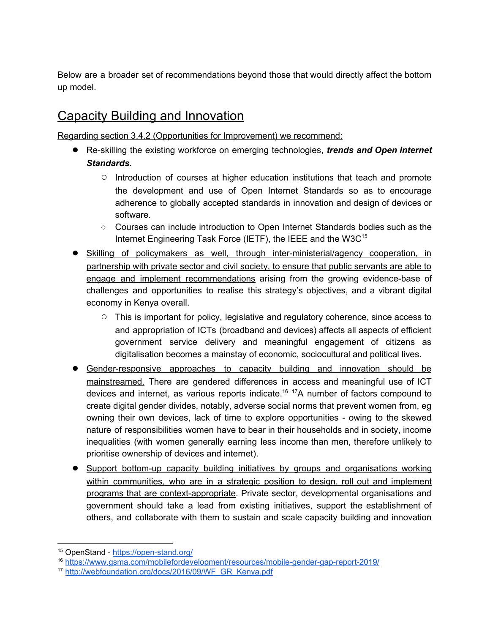Below are a broader set of recommendations beyond those that would directly affect the bottom up model.

# Capacity Building and Innovation

Regarding section 3.4.2 (Opportunities for Improvement) we recommend:

- Re-skilling the existing workforce on emerging technologies, *trends and Open Internet Standards.* 
	- Introduction of courses at higher education institutions that teach and promote the development and use of Open Internet Standards so as to encourage adherence to globally accepted standards in innovation and design of devices or software.
	- Courses can include introduction to Open Internet Standards bodies such as the Internet Engineering Task Force (IETF), the IEEE and the W3C<sup>15</sup>
- Skilling of policymakers as well, through inter-ministerial/agency cooperation, in partnership with private sector and civil society, to ensure that public servants are able to engage and implement recommendations arising from the growing evidence-base of challenges and opportunities to realise this strategy's objectives, and a vibrant digital economy in Kenya overall.
	- This is important for policy, legislative and regulatory coherence, since access to and appropriation of ICTs (broadband and devices) affects all aspects of efficient government service delivery and meaningful engagement of citizens as digitalisation becomes a mainstay of economic, sociocultural and political lives.
- Gender-responsive approaches to capacity building and innovation should be mainstreamed. There are gendered differences in access and meaningful use of ICT devices and internet, as various reports indicate.<sup>16 17</sup>A number of factors compound to create digital gender divides, notably, adverse social norms that prevent women from, eg owning their own devices, lack of time to explore opportunities - owing to the skewed nature of responsibilities women have to bear in their households and in society, income inequalities (with women generally earning less income than men, therefore unlikely to prioritise ownership of devices and internet).
- Support bottom-up capacity building initiatives by groups and organisations working within communities, who are in a strategic position to design, roll out and implement programs that are context-appropriate . Private sector, developmental organisations and government should take a lead from existing initiatives, support the establishment of others, and collaborate with them to sustain and scale capacity building and innovation

<sup>15</sup> OpenStand - <https://open-stand.org/>

<sup>16</sup> <https://www.gsma.com/mobilefordevelopment/resources/mobile-gender-gap-report-2019/>

<sup>17</sup> [http://webfoundation.org/docs/2016/09/WF\\_GR\\_Kenya.pdf](http://webfoundation.org/docs/2016/09/WF_GR_Kenya.pdf)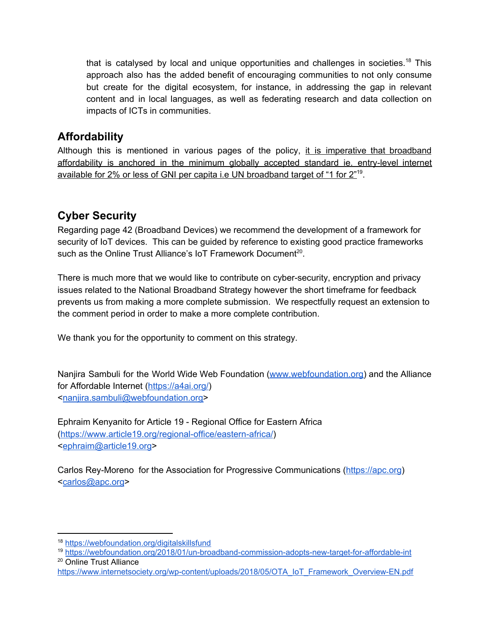that is catalysed by local and unique opportunities and challenges in societies.<sup>18</sup> This approach also has the added benefit of encouraging communities to not only consume but create for the digital ecosystem, for instance, in addressing the gap in relevant content and in local languages, as well as federating research and data collection on impacts of ICTs in communities.

### **Affordability**

Although this is mentioned in various pages of the policy, it is imperative that broadband affordability is anchored in the minimum globally accepted standard ie. entry-level internet available for 2% or less of GNI per capita i.e UN broadband target of "1 for  $2^{n_19}$ .

## **Cyber Security**

Regarding page 42 (Broadband Devices) we recommend the development of a framework for security of IoT devices. This can be guided by reference to existing good practice frameworks such as the Online Trust Alliance's IoT Framework Document<sup>20</sup>.

There is much more that we would like to contribute on cyber-security, encryption and privacy issues related to the National Broadband Strategy however the short timeframe for feedback prevents us from making a more complete submission. We respectfully request an extension to the comment period in order to make a more complete contribution.

We thank you for the opportunity to comment on this strategy.

Nanjira Sambuli for the World Wide Web Foundation [\(](http://www.webfoundation.org/)[www.webfoundation.org](http://www.webfoundation.org/)) and the Alliance for Affordable Internet [\(https://a4ai.org/\)](https://a4ai.org/) <[nanjira.sambuli@webfoundation.org>](mailto:nanjira.sambuli@webfoundation.org)

Ephraim Kenyanito for Article 19 - Regional Office for Eastern Africa (<https://www.article19.org/regional-office/eastern-africa/>) <[ephraim@article19.org>](mailto:ephraim@article19.org)

Carlos Rey-Moreno for the Association for Progressive Communications ([https://apc.org](https://apc.org/)) <[carlos@apc.org](mailto:carlos@apc.org)>

<sup>18</sup> <https://webfoundation.org/digitalskillsfund>

<sup>19</sup> <https://webfoundation.org/2018/01/un-broadband-commission-adopts-new-target-for-affordable-int> <sup>20</sup> Online Trust Alliance

[https://www.internetsociety.org/wp-content/uploads/2018/05/OTA\\_IoT\\_Framework\\_Overview-EN.pdf](https://www.internetsociety.org/wp-content/uploads/2018/05/OTA_IoT_Framework_Overview-EN.pdf)